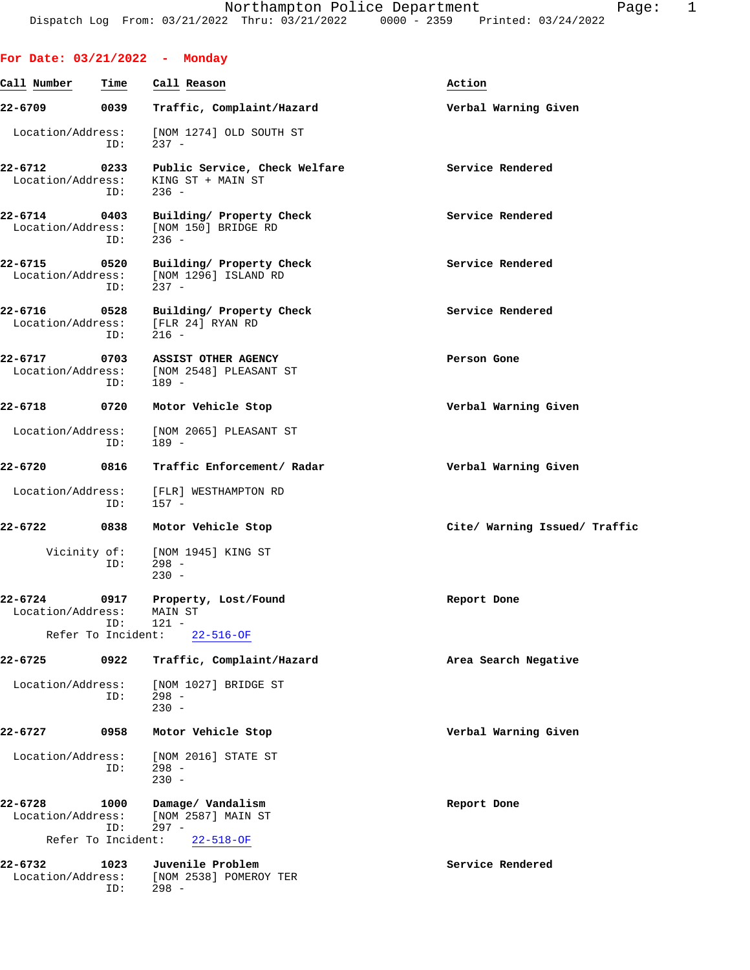|                                  |                    | For Date: 03/21/2022 - Monday                                                |                               |
|----------------------------------|--------------------|------------------------------------------------------------------------------|-------------------------------|
| Call Number                      | Time               | Call Reason                                                                  | Action                        |
| 22-6709                          | 0039               | Traffic, Complaint/Hazard                                                    | Verbal Warning Given          |
| Location/Address:                | ID:                | [NOM 1274] OLD SOUTH ST<br>$237 -$                                           |                               |
| 22-6712<br>Location/Address:     | 0233<br>ID:        | Public Service, Check Welfare<br>KING ST + MAIN ST<br>$236 -$                | Service Rendered              |
| $22 - 6714$                      | 0403<br>ID:        | Building/ Property Check<br>Location/Address: [NOM 150] BRIDGE RD<br>$236 -$ | Service Rendered              |
| 22-6715<br>Location/Address:     | 0520<br>ID:        | Building/ Property Check<br>[NOM 1296] ISLAND RD<br>$237 -$                  | Service Rendered              |
| 22-6716<br>Location/Address:     | 0528<br>ID:        | Building/ Property Check<br>[FLR 24] RYAN RD<br>$216 -$                      | Service Rendered              |
| 22-6717<br>Location/Address:     | 0703<br>ID:        | ASSIST OTHER AGENCY<br>[NOM 2548] PLEASANT ST<br>$189 -$                     | Person Gone                   |
| 22-6718                          | 0720               | Motor Vehicle Stop                                                           | Verbal Warning Given          |
| Location/Address:                | ID:                | [NOM 2065] PLEASANT ST<br>$189 -$                                            |                               |
| 22-6720                          | 0816               | Traffic Enforcement/ Radar                                                   | Verbal Warning Given          |
|                                  | ID:                | Location/Address: [FLR] WESTHAMPTON RD<br>$157 -$                            |                               |
| 22-6722                          | 0838               | Motor Vehicle Stop                                                           | Cite/ Warning Issued/ Traffic |
|                                  | ID:                | Vicinity of: [NOM 1945] KING ST<br>$298 -$<br>$230 -$                        |                               |
| 22-6724<br>Location/Address:     | 0917<br>ID:        | Property, Lost/Found<br>MAIN ST<br>$121 -$                                   | Report Done                   |
|                                  | Refer To Incident: | $22 - 516 - OF$                                                              |                               |
| 22-6725                          | 0922               | Traffic, Complaint/Hazard                                                    | Area Search Negative          |
| Location/Address:                | ID:                | [NOM 1027] BRIDGE ST<br>$298 -$<br>$230 -$                                   |                               |
| $22 - 6727$                      | 0958               | Motor Vehicle Stop                                                           | Verbal Warning Given          |
| Location/Address:                | ID:                | [NOM 2016] STATE ST<br>$298 -$<br>$230 -$                                    |                               |
| $22 - 6728$<br>Location/Address: | 1000<br>ID:        | Damage/ Vandalism<br>[NOM 2587] MAIN ST<br>$297 -$                           | Report Done                   |
|                                  | Refer To Incident: | $22 - 518 - OF$                                                              |                               |
| 22-6732<br>Location/Address:     | 1023<br>ID:        | Juvenile Problem<br>[NOM 2538] POMEROY TER<br>$298 -$                        | Service Rendered              |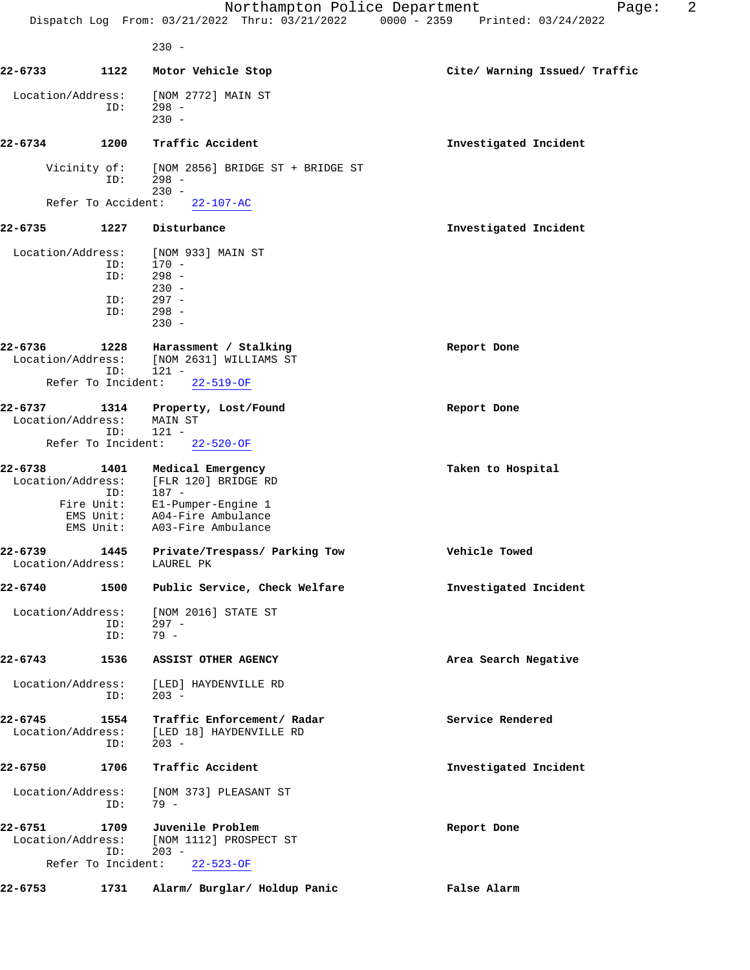|                              |                           | Northampton Police Department                                                             | 2<br>Page:                    |
|------------------------------|---------------------------|-------------------------------------------------------------------------------------------|-------------------------------|
|                              |                           | Dispatch Log From: 03/21/2022 Thru: 03/21/2022 0000 - 2359 Printed: 03/24/2022<br>$230 -$ |                               |
| 22-6733                      | 1122                      | Motor Vehicle Stop                                                                        | Cite/ Warning Issued/ Traffic |
|                              |                           |                                                                                           |                               |
| Location/Address:            | ID:                       | [NOM 2772] MAIN ST<br>$298 -$<br>$230 -$                                                  |                               |
| 22-6734                      | 1200                      | Traffic Accident                                                                          | Investigated Incident         |
|                              | Vicinity of:<br>ID:       | [NOM 2856] BRIDGE ST + BRIDGE ST<br>$298 -$<br>$230 -$                                    |                               |
|                              | Refer To Accident:        | $22 - 107 - AC$                                                                           |                               |
| 22-6735                      | 1227                      | Disturbance                                                                               | Investigated Incident         |
| Location/Address:            |                           | [NOM 933] MAIN ST                                                                         |                               |
|                              | ID:                       | $170 -$                                                                                   |                               |
|                              | ID:                       | $298 -$<br>$230 -$                                                                        |                               |
|                              | ID:                       | $297 -$                                                                                   |                               |
|                              | ID:                       | $298 -$                                                                                   |                               |
|                              |                           | $230 -$                                                                                   |                               |
| 22-6736                      | 1228                      | Harassment / Stalking                                                                     | Report Done                   |
| Location/Address:            |                           | [NOM 2631] WILLIAMS ST                                                                    |                               |
|                              | ID:<br>Refer To Incident: | $121 -$<br>$22 - 519 - OF$                                                                |                               |
| 22-6737                      | 1314                      | Property, Lost/Found                                                                      | Report Done                   |
| Location/Address:            |                           | MAIN ST                                                                                   |                               |
|                              | ID:                       | $121 -$                                                                                   |                               |
|                              | Refer To Incident:        | $22 - 520 - OF$                                                                           |                               |
| 22-6738                      | 1401                      | Medical Emergency                                                                         | Taken to Hospital             |
| Location/Address:            | ID:                       | [FLR 120] BRIDGE RD<br>$187 -$                                                            |                               |
|                              | Fire Unit:                | El-Pumper-Engine 1                                                                        |                               |
|                              |                           | EMS Unit: A04-Fire Ambulance                                                              |                               |
|                              | EMS Unit:                 | A03-Fire Ambulance                                                                        |                               |
| 22-6739<br>Location/Address: |                           | 1445 Private/Trespass/ Parking Tow<br>LAUREL PK                                           | Vehicle Towed                 |
| 22-6740                      | 1500                      | Public Service, Check Welfare                                                             | Investigated Incident         |
| Location/Address:            | ID:<br>ID:                | [NOM 2016] STATE ST<br>$297 -$<br>$79 -$                                                  |                               |
| 22-6743                      | 1536                      | ASSIST OTHER AGENCY                                                                       | Area Search Negative          |
| Location/Address:            | ID:                       | [LED] HAYDENVILLE RD<br>$203 -$                                                           |                               |
| 22-6745<br>Location/Address: | 1554<br>ID:               | Traffic Enforcement/ Radar<br>[LED 18] HAYDENVILLE RD<br>$203 -$                          | Service Rendered              |
| 22-6750                      | 1706                      | Traffic Accident                                                                          | Investigated Incident         |
| Location/Address:            | ID:                       | [NOM 373] PLEASANT ST<br>$79 -$                                                           |                               |
| 22-6751<br>Location/Address: | 1709<br>ID:               | Juvenile Problem<br>[NOM 1112] PROSPECT ST<br>$203 -$<br>Refer To Incident: 22-523-OF     | Report Done                   |
|                              |                           |                                                                                           |                               |
| 22-6753                      | 1731                      | Alarm/ Burglar/ Holdup Panic                                                              | False Alarm                   |